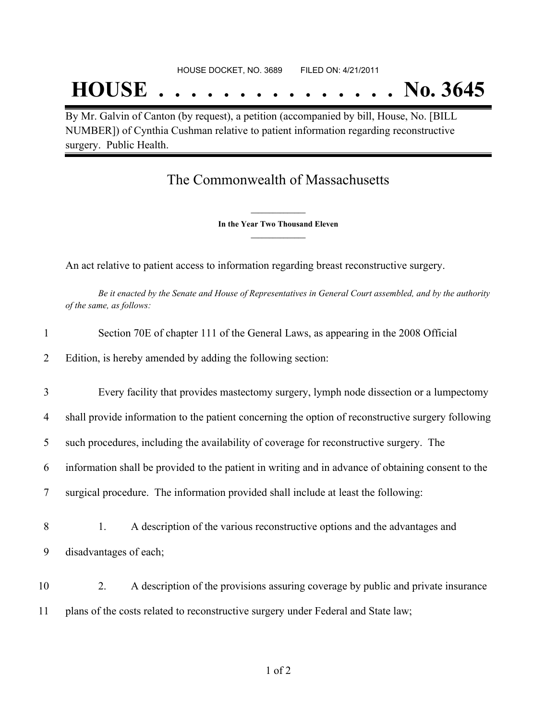## **HOUSE . . . . . . . . . . . . . . . No. 3645**

By Mr. Galvin of Canton (by request), a petition (accompanied by bill, House, No. [BILL NUMBER]) of Cynthia Cushman relative to patient information regarding reconstructive surgery. Public Health.

## The Commonwealth of Massachusetts

**\_\_\_\_\_\_\_\_\_\_\_\_\_\_\_ In the Year Two Thousand Eleven \_\_\_\_\_\_\_\_\_\_\_\_\_\_\_**

An act relative to patient access to information regarding breast reconstructive surgery.

Be it enacted by the Senate and House of Representatives in General Court assembled, and by the authority *of the same, as follows:*

| Edition, is hereby amended by adding the following section:<br>2<br>3<br>4<br>such procedures, including the availability of coverage for reconstructive surgery. The<br>5<br>6<br>surgical procedure. The information provided shall include at least the following:<br>7<br>8<br>A description of the various reconstructive options and the advantages and<br>1.<br>disadvantages of each;<br>9<br>10<br>2.<br>plans of the costs related to reconstructive surgery under Federal and State law;<br>11 | 1 | Section 70E of chapter 111 of the General Laws, as appearing in the 2008 Official                  |
|-----------------------------------------------------------------------------------------------------------------------------------------------------------------------------------------------------------------------------------------------------------------------------------------------------------------------------------------------------------------------------------------------------------------------------------------------------------------------------------------------------------|---|----------------------------------------------------------------------------------------------------|
|                                                                                                                                                                                                                                                                                                                                                                                                                                                                                                           |   |                                                                                                    |
|                                                                                                                                                                                                                                                                                                                                                                                                                                                                                                           |   | Every facility that provides mastectomy surgery, lymph node dissection or a lumpectomy             |
|                                                                                                                                                                                                                                                                                                                                                                                                                                                                                                           |   | shall provide information to the patient concerning the option of reconstructive surgery following |
|                                                                                                                                                                                                                                                                                                                                                                                                                                                                                                           |   |                                                                                                    |
|                                                                                                                                                                                                                                                                                                                                                                                                                                                                                                           |   | information shall be provided to the patient in writing and in advance of obtaining consent to the |
|                                                                                                                                                                                                                                                                                                                                                                                                                                                                                                           |   |                                                                                                    |
|                                                                                                                                                                                                                                                                                                                                                                                                                                                                                                           |   |                                                                                                    |
|                                                                                                                                                                                                                                                                                                                                                                                                                                                                                                           |   |                                                                                                    |
|                                                                                                                                                                                                                                                                                                                                                                                                                                                                                                           |   | A description of the provisions assuring coverage by public and private insurance                  |
|                                                                                                                                                                                                                                                                                                                                                                                                                                                                                                           |   |                                                                                                    |